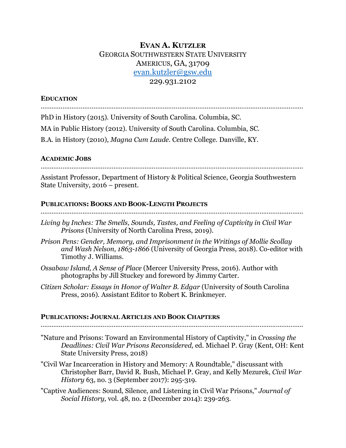# **EVAN A. KUTZLER** GEORGIA SOUTHWESTERN STATE UNIVERSITY AMERICUS, GA, 31709 evan.kutzler@gsw.edu 229.931.2102

### **EDUCATION**

………………………………………………………………………………………………………………………………

PhD in History (2015). University of South Carolina. Columbia, SC. MA in Public History (2012). University of South Carolina. Columbia, SC.

B.A. in History (2010), *Magna Cum Laude*. Centre College. Danville, KY.

### **ACADEMIC JOBS**

………………………………………………………………………………………………………………………………

Assistant Professor, Department of History & Political Science, Georgia Southwestern State University, 2016 – present.

### **PUBLICATIONS: BOOKS AND BOOK-LENGTH PROJECTS**

………………………………………………………………………………………………………………………………

- *Living by Inches: The Smells, Sounds, Tastes, and Feeling of Captivity in Civil War Prisons* (University of North Carolina Press, 2019).
- *Prison Pens: Gender, Memory, and Imprisonment in the Writings of Mollie Scollay and Wash Nelson, 1863-1866* (University of Georgia Press, 2018). Co-editor with Timothy J. Williams.
- *Ossabaw Island, A Sense of Place* (Mercer University Press, 2016). Author with photographs by Jill Stuckey and foreword by Jimmy Carter.
- *Citizen Scholar: Essays in Honor of Walter B. Edgar (University of South Carolina* Press, 2016). Assistant Editor to Robert K. Brinkmeyer.

# **PUBLICATIONS: JOURNAL ARTICLES AND BOOK CHAPTERS**

………………………………………………………………………………………………………………………………

"Nature and Prisons: Toward an Environmental History of Captivity," in *Crossing the Deadlines: Civil War Prisons Reconsidered,* ed. Michael P. Gray (Kent, OH: Kent State University Press, 2018)

"Civil War Incarceration in History and Memory: A Roundtable," discussant with Christopher Barr, David R. Bush, Michael P. Gray, and Kelly Mezurek, *Civil War History* 63, no. 3 (September 2017): 295-319.

"Captive Audiences: Sound, Silence, and Listening in Civil War Prisons," *Journal of Social History,* vol. 48, no. 2 (December 2014): 239-263.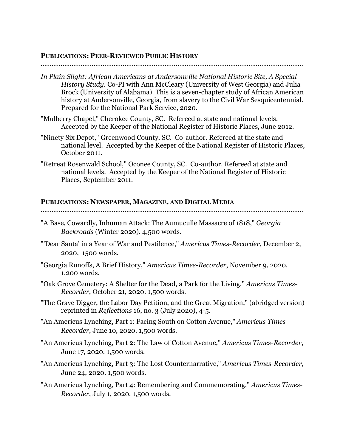#### **PUBLICATIONS: PEER-REVIEWED PUBLIC HISTORY**

#### ………………………………………………………………………………………………………………………………

- *In Plain Slight: African Americans at Andersonville National Historic Site, A Special History Study*. Co-PI with Ann McCleary (University of West Georgia) and Julia Brock (University of Alabama). This is a seven-chapter study of African American history at Andersonville, Georgia, from slavery to the Civil War Sesquicentennial. Prepared for the National Park Service, 2020.
- "Mulberry Chapel," Cherokee County, SC. Refereed at state and national levels. Accepted by the Keeper of the National Register of Historic Places, June 2012.
- "Ninety Six Depot," Greenwood County, SC. Co-author. Refereed at the state and national level. Accepted by the Keeper of the National Register of Historic Places, October 2011.
- "Retreat Rosenwald School," Oconee County, SC. Co-author. Refereed at state and national levels. Accepted by the Keeper of the National Register of Historic Places, September 2011.

#### **PUBLICATIONS: NEWSPAPER, MAGAZINE, AND DIGITAL MEDIA**

- "A Base, Cowardly, Inhuman Attack: The Aumuculle Massacre of 1818," *Georgia Backroads* (Winter 2020). 4,500 words.
- "'Dear Santa' in a Year of War and Pestilence," *Americus Times-Recorder*, December 2, 2020, 1500 words.
- "Georgia Runoffs, A Brief History," *Americus Times-Recorder*, November 9, 2020. 1,200 words.
- "Oak Grove Cemetery: A Shelter for the Dead, a Park for the Living," *Americus Times-Recorder*, October 21, 2020. 1,500 words.
- "The Grave Digger, the Labor Day Petition, and the Great Migration," (abridged version) reprinted in *Reflections* 16, no. 3 (July 2020), 4-5.
- "An Americus Lynching, Part 1: Facing South on Cotton Avenue," *Americus Times-Recorder*, June 10, 2020. 1,500 words.
- "An Americus Lynching, Part 2: The Law of Cotton Avenue," *Americus Times-Recorder*, June 17, 2020. 1,500 words.
- "An Americus Lynching, Part 3: The Lost Counternarrative," *Americus Times-Recorder*, June 24, 2020. 1,500 words.
- "An Americus Lynching, Part 4: Remembering and Commemorating," *Americus Times-Recorder*, July 1, 2020. 1,500 words.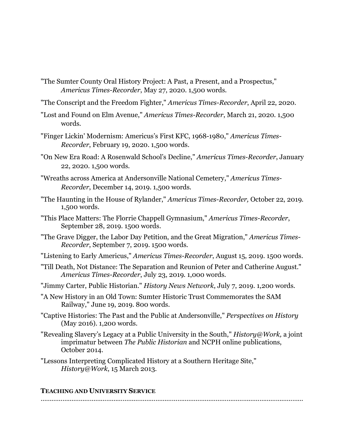- "The Sumter County Oral History Project: A Past, a Present, and a Prospectus," *Americus Times-Recorder*, May 27, 2020. 1,500 words.
- "The Conscript and the Freedom Fighter," *Americus Times-Recorder*, April 22, 2020.
- "Lost and Found on Elm Avenue," *Americus Times-Recorder*, March 21, 2020. 1,500 words.
- "Finger Lickin' Modernism: Americus's First KFC, 1968-1980," *Americus Times-Recorder*, February 19, 2020. 1,500 words.
- "On New Era Road: A Rosenwald School's Decline," *Americus Times-Recorder*, January 22, 2020. 1,500 words.
- "Wreaths across America at Andersonville National Cemetery," *Americus Times-Recorder*, December 14, 2019. 1,500 words.
- "The Haunting in the House of Rylander," *Americus Times-Recorder,* October 22, 2019. 1,500 words.
- "This Place Matters: The Florrie Chappell Gymnasium," *Americus Times-Recorder*, September 28, 2019. 1500 words.
- "The Grave Digger, the Labor Day Petition, and the Great Migration," *Americus Times-Recorder*, September 7, 2019. 1500 words.

"Listening to Early Americus," *Americus Times-Recorder*, August 15, 2019. 1500 words.

- "Till Death, Not Distance: The Separation and Reunion of Peter and Catherine August." *Americus Times-Recorder*, July 23, 2019. 1,000 words.
- "Jimmy Carter, Public Historian." *History News Network*, July 7, 2019. 1,200 words.
- "A New History in an Old Town: Sumter Historic Trust Commemorates the SAM Railway," June 19, 2019. 800 words.
- "Captive Histories: The Past and the Public at Andersonville," *Perspectives on History*  (May 2016). 1,200 words.
- "Revealing Slavery's Legacy at a Public University in the South," *History@Work,* a joint imprimatur between *The Public Historian* and NCPH online publications, October 2014.
- "Lessons Interpreting Complicated History at a Southern Heritage Site," *History@Work*, 15 March 2013.

#### **TEACHING AND UNIVERSITY SERVICE**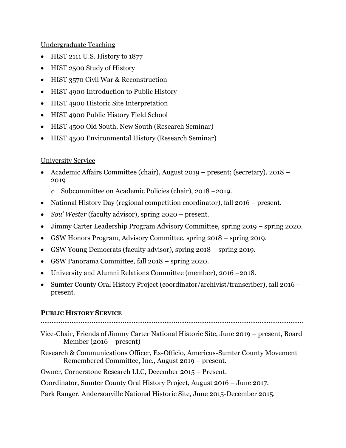Undergraduate Teaching

- HIST 2111 U.S. History to 1877
- HIST 2500 Study of History
- HIST 3570 Civil War & Reconstruction
- HIST 4900 Introduction to Public History
- HIST 4900 Historic Site Interpretation
- HIST 4900 Public History Field School
- HIST 4500 Old South, New South (Research Seminar)
- HIST 4500 Environmental History (Research Seminar)

# University Service

- Academic Affairs Committee (chair), August 2019 present; (secretary), 2018 2019
	- o Subcommittee on Academic Policies (chair), 2018 –2019.
- National History Day (regional competition coordinator), fall 2016 present.
- *Sou' Wester* (faculty advisor), spring 2020 present.
- Jimmy Carter Leadership Program Advisory Committee, spring 2019 spring 2020.
- GSW Honors Program, Advisory Committee, spring 2018 spring 2019.
- GSW Young Democrats (faculty advisor), spring 2018 spring 2019.
- GSW Panorama Committee, fall 2018 spring 2020.
- University and Alumni Relations Committee (member), 2016 –2018.
- Sumter County Oral History Project (coordinator/archivist/transcriber), fall 2016 present.

# **PUBLIC HISTORY SERVICE**

………………………………………………………………………………………………………………………………

- Vice-Chair, Friends of Jimmy Carter National Historic Site, June 2019 present, Board Member (2016 – present)
- Research & Communications Officer, Ex-Officio, Americus-Sumter County Movement Remembered Committee, Inc., August 2019 – present.

# Owner, Cornerstone Research LLC, December 2015 – Present.

# Coordinator, Sumter County Oral History Project, August 2016 – June 2017.

Park Ranger, Andersonville National Historic Site, June 2015-December 2015.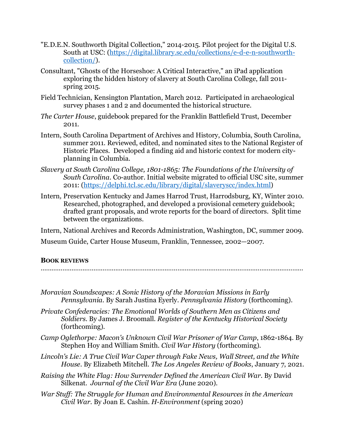- "E.D.E.N. Southworth Digital Collection," 2014-2015. Pilot project for the Digital U.S. South at USC: (https://digital.library.sc.edu/collections/e-d-e-n-southworthcollection/).
- Consultant, "Ghosts of the Horseshoe: A Critical Interactive," an iPad application exploring the hidden history of slavery at South Carolina College, fall 2011 spring 2015.
- Field Technician, Kensington Plantation, March 2012. Participated in archaeological survey phases 1 and 2 and documented the historical structure.
- *The Carter House*, guidebook prepared for the Franklin Battlefield Trust, December 2011.
- Intern, South Carolina Department of Archives and History, Columbia, South Carolina, summer 2011. Reviewed, edited, and nominated sites to the National Register of Historic Places. Developed a finding aid and historic context for modern cityplanning in Columbia.
- *Slavery at South Carolina College, 1801-1865: The Foundations of the University of South Carolina.* Co-author. Initial website migrated to official USC site, summer 2011: (https://delphi.tcl.sc.edu/library/digital/slaveryscc/index.html)
- Intern*,* Preservation Kentucky and James Harrod Trust, Harrodsburg, KY, Winter 2010. Researched, photographed, and developed a provisional cemetery guidebook; drafted grant proposals, and wrote reports for the board of directors. Split time between the organizations.

Intern, National Archives and Records Administration, Washington, DC, summer 2009.

Museum Guide, Carter House Museum, Franklin, Tennessee, 2002—2007.

### **BOOK REVIEWS**

- *Moravian Soundscapes: A Sonic History of the Moravian Missions in Early Pennsylvania.* By Sarah Justina Eyerly. *Pennsylvania History* (forthcoming).
- *Private Confederacies: The Emotional Worlds of Southern Men as Citizens and Soldiers*. By James J. Broomall. *Register of the Kentucky Historical Society*  (forthcoming).
- *Camp Oglethorpe: Macon's Unknown Civil War Prisoner of War Camp*, 1862-1864. By Stephen Hoy and William Smith*. Civil War History* (forthcoming).
- *Lincoln's Lie: A True Civil War Caper through Fake News, Wall Street, and the White House*. By Elizabeth Mitchell. *The Los Angeles Review of Books*, January 7, 2021.
- *Raising the White Flag: How Surrender Defined the American Civil War*. By David Silkenat. *Journal of the Civil War Era* (June 2020).
- *War Stuff: The Struggle for Human and Environmental Resources in the American Civil War*. By Joan E. Cashin. *H-Environment* (spring 2020)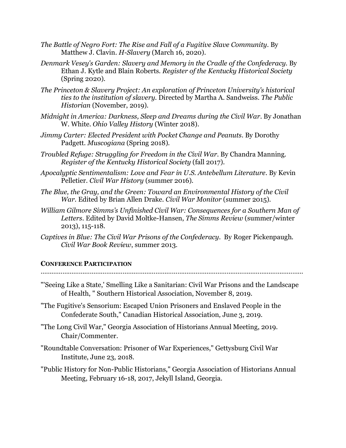- *The Battle of Negro Fort: The Rise and Fall of a Fugitive Slave Community*. By Matthew J. Clavin. *H-Slavery* (March 16, 2020).
- *Denmark Vesey's Garden: Slavery and Memory in the Cradle of the Confederacy*. By Ethan J. Kytle and Blain Roberts. *Register of the Kentucky Historical Society* (Spring 2020).
- *The Princeton & Slavery Project: An exploration of Princeton University's historical ties to the institution of slavery*. Directed by Martha A. Sandweiss. *The Public Historian* (November, 2019).
- *Midnight in America: Darkness, Sleep and Dreams during the Civil War*. By Jonathan W. White. *Ohio Valley History* (Winter 2018).
- *Jimmy Carter: Elected President with Pocket Change and Peanuts*. By Dorothy Padgett. *Muscogiana* (Spring 2018).
- *Troubled Refuge: Struggling for Freedom in the Civil War*. By Chandra Manning. *Register of the Kentucky Historical Society* (fall 2017).
- *Apocalyptic Sentimentalism: Love and Fear in U.S. Antebellum Literature*. By Kevin Pelletier. *Civil War History* (summer 2016).
- *The Blue, the Gray, and the Green: Toward an Environmental History of the Civil War*. Edited by Brian Allen Drake. *Civil War Monitor* (summer 2015).
- *William Gilmore Simms's Unfinished Civil War: Consequences for a Southern Man of Letters*. Edited by David Moltke-Hansen, *The Simms Review* (summer/winter 2013), 115-118.
- *Captives in Blue: The Civil War Prisons of the Confederacy*. By Roger Pickenpaugh. *Civil War Book Review*, summer 2013.

### **CONFERENCE PARTICIPATION**

- "'Seeing Like a State,' Smelling Like a Sanitarian: Civil War Prisons and the Landscape of Health, " Southern Historical Association, November 8, 2019.
- "The Fugitive's Sensorium: Escaped Union Prisoners and Enslaved People in the Confederate South," Canadian Historical Association*,* June 3, 2019.
- "The Long Civil War," Georgia Association of Historians Annual Meeting, 2019. Chair/Commenter.
- "Roundtable Conversation: Prisoner of War Experiences," Gettysburg Civil War Institute, June 23, 2018.
- "Public History for Non-Public Historians," Georgia Association of Historians Annual Meeting, February 16-18, 2017, Jekyll Island, Georgia.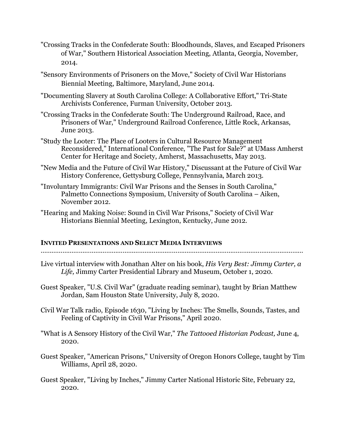- "Crossing Tracks in the Confederate South: Bloodhounds, Slaves, and Escaped Prisoners of War," Southern Historical Association Meeting, Atlanta, Georgia, November, 2014.
- "Sensory Environments of Prisoners on the Move," Society of Civil War Historians Biennial Meeting, Baltimore, Maryland, June 2014.
- "Documenting Slavery at South Carolina College: A Collaborative Effort," Tri-State Archivists Conference, Furman University, October 2013.
- "Crossing Tracks in the Confederate South: The Underground Railroad, Race, and Prisoners of War," Underground Railroad Conference, Little Rock, Arkansas, June 2013.
- "Study the Looter: The Place of Looters in Cultural Resource Management Reconsidered," International Conference, "The Past for Sale?" at UMass Amherst Center for Heritage and Society, Amherst, Massachusetts, May 2013.
- "New Media and the Future of Civil War History," Discussant at the Future of Civil War History Conference, Gettysburg College, Pennsylvania, March 2013.
- "Involuntary Immigrants: Civil War Prisons and the Senses in South Carolina," Palmetto Connections Symposium, University of South Carolina – Aiken, November 2012.
- "Hearing and Making Noise: Sound in Civil War Prisons," Society of Civil War Historians Biennial Meeting, Lexington, Kentucky, June 2012.

#### **INVITED PRESENTATIONS AND SELECT MEDIA INTERVIEWS**

- 
- Live virtual interview with Jonathan Alter on his book, *His Very Best: Jimmy Carter, a Life,* Jimmy Carter Presidential Library and Museum, October 1, 2020.
- Guest Speaker, "U.S. Civil War" (graduate reading seminar), taught by Brian Matthew Jordan, Sam Houston State University, July 8, 2020.
- Civil War Talk radio, Episode 1630, "Living by Inches: The Smells, Sounds, Tastes, and Feeling of Captivity in Civil War Prisons," April 2020.
- "What is A Sensory History of the Civil War," *The Tattooed Historian Podcast,* June 4, 2020.
- Guest Speaker, "American Prisons," University of Oregon Honors College, taught by Tim Williams, April 28, 2020.
- Guest Speaker, "Living by Inches," Jimmy Carter National Historic Site, February 22, 2020.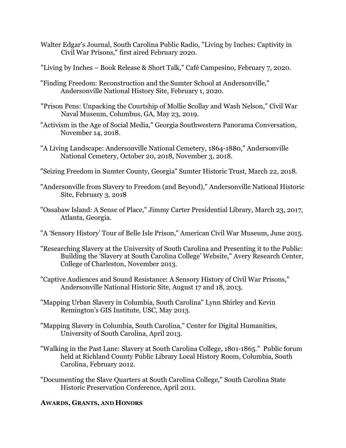- Walter Edgar's Journal, South Carolina Public Radio, "Living by Inches: Captivity in Civil War Prisons," first aired February 2020.
- "Living by Inches Book Release & Short Talk," Café Campesino, February 7, 2020.
- "Finding Freedom: Reconstruction and the Sumter School at Andersonville," Andersonville National History Site, February 1, 2020.
- "Prison Pens: Unpacking the Courtship of Mollie Scollay and Wash Nelson," Civil War Naval Museum, Columbus, GA, May 23, 2019.
- "Activism in the Age of Social Media," Georgia Southwestern Panorama Conversation, November 14, 2018.
- "A Living Landscape: Andersonville National Cemetery, 1864-1880," Andersonville National Cemetery, October 20, 2018, November 3, 2018.
- "Seizing Freedom in Sumter County, Georgia" Sumter Historic Trust, March 22, 2018.
- "Andersonville from Slavery to Freedom (and Beyond)," Andersonville National Historic Site, February 3, 2018
- "Ossabaw Island: A Sense of Place," Jimmy Carter Presidential Library, March 23, 2017, Atlanta, Georgia.
- "A 'Sensory History' Tour of Belle Isle Prison," American Civil War Museum, June 2015.
- "Researching Slavery at the University of South Carolina and Presenting it to the Public: Building the 'Slavery at South Carolina College' Website," Avery Research Center, College of Charleston, November 2013.
- "Captive Audiences and Sound Resistance: A Sensory History of Civil War Prisons," Andersonville National Historic Site, August 17 and 18, 2013.
- "Mapping Urban Slavery in Columbia, South Carolina" Lynn Shirley and Kevin Remington's GIS Institute, USC, May 2013.
- "Mapping Slavery in Columbia, South Carolina," Center for Digital Humanities, University of South Carolina, April 2013.
- "Walking in the Past Lane: Slavery at South Carolina College, 1801-1865." Public forum held at Richland County Public Library Local History Room, Columbia, South Carolina, February 2012.
- "Documenting the Slave Quarters at South Carolina College," South Carolina State Historic Preservation Conference, April 2011.

# **AWARDS, GRANTS, AND HONORS**